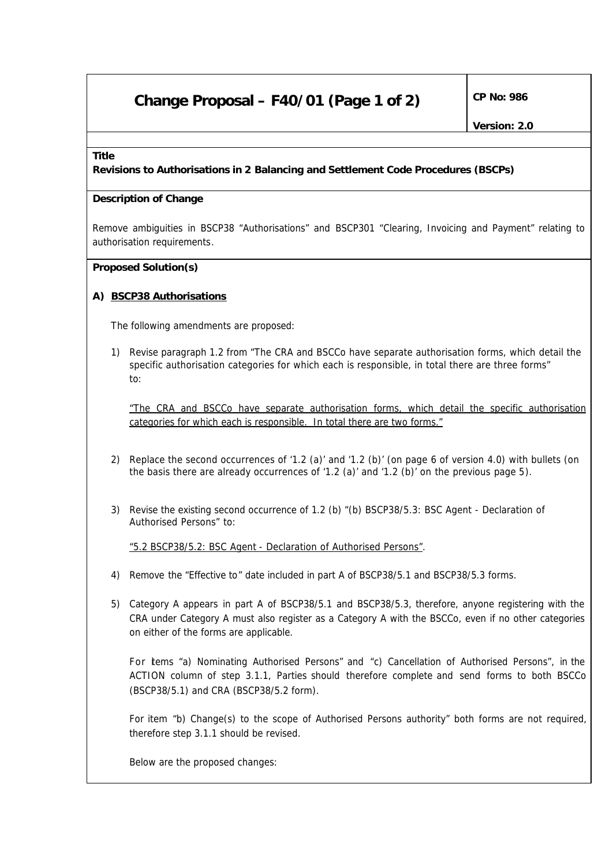# **Change Proposal – F40/01 (Page 1 of 2)**  $\int^{CP}$  No: 986

#### **Title**

**Revisions to Authorisations in 2 Balancing and Settlement Code Procedures (BSCPs)**

#### **Description of Change**

Remove ambiguities in BSCP38 "Authorisations" and BSCP301 "Clearing, Invoicing and Payment" relating to authorisation requirements.

### **Proposed Solution(s)**

### **A) BSCP38 Authorisations**

The following amendments are proposed:

1) Revise paragraph 1.2 from "The CRA and BSCCo have separate authorisation forms, which detail the specific authorisation categories for which each is responsible, in total there are three forms" to:

*"The CRA and BSCCo have separate authorisation forms, which detail the specific authorisation categories for which each is responsible. In total there are two forms."*

- 2) Replace the second occurrences of '1.2 (a)' and '1.2 (b)' (on page 6 of version 4.0) with bullets (on the basis there are already occurrences of '1.2 (a)' and '1.2 (b)' on the previous page 5).
- 3) Revise the existing second occurrence of 1.2 (b) "(b) BSCP38/5.3: BSC Agent Declaration of Authorised Persons" to:

*"5.2 BSCP38/5.2: BSC Agent - Declaration of Authorised Persons"*.

- 4) Remove the "Effective to" date included in part A of BSCP38/5.1 and BSCP38/5.3 forms.
- 5) Category A appears in part A of BSCP38/5.1 and BSCP38/5.3, therefore, anyone registering with the CRA under Category A must also register as a Category A with the BSCCo, even if no other categories on either of the forms are applicable.

For items "a) Nominating Authorised Persons" and "c) Cancellation of Authorised Persons", in the ACTION column of step 3.1.1, Parties should therefore complete and send forms to both BSCCo (BSCP38/5.1) and CRA (BSCP38/5.2 form).

For item "b) Change(s) to the scope of Authorised Persons authority" both forms are not required, therefore step 3.1.1 should be revised.

Below are the proposed changes: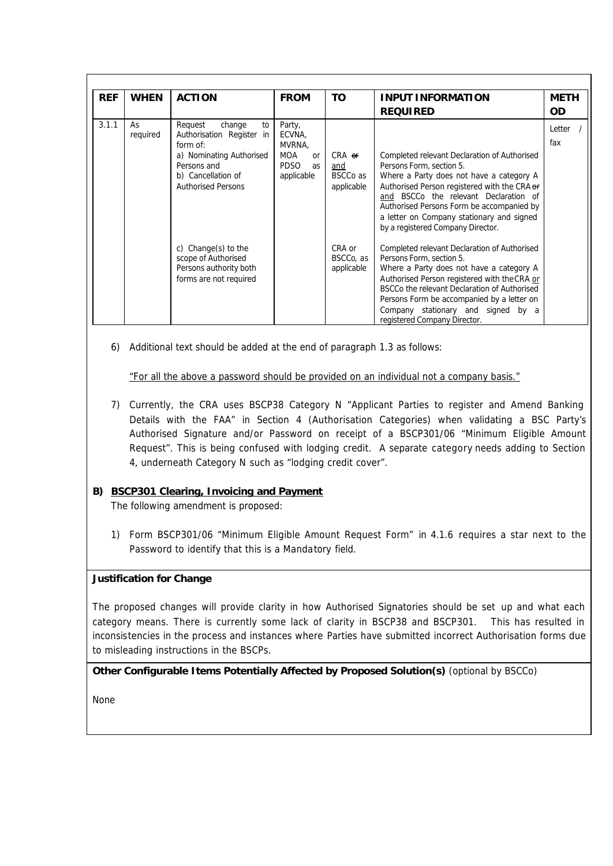| <b>REF</b> | <b>WHEN</b>    | <b>ACTION</b>                                                                                                                                                  | <b>FROM</b>                                                                | <b>TO</b>                                        | <b>INPUT INFORMATION</b><br><b>REQUIRED</b>                                                                                                                                                                                                                                                                                                  | <b>METH</b><br><b>OD</b> |
|------------|----------------|----------------------------------------------------------------------------------------------------------------------------------------------------------------|----------------------------------------------------------------------------|--------------------------------------------------|----------------------------------------------------------------------------------------------------------------------------------------------------------------------------------------------------------------------------------------------------------------------------------------------------------------------------------------------|--------------------------|
| 3.1.1      | As<br>required | Request<br>change<br>to<br>Authorisation Register in<br>form of:<br>a) Nominating Authorised<br>Persons and<br>b) Cancellation of<br><b>Authorised Persons</b> | Party,<br>ECVNA,<br>MVRNA.<br>MOA<br>or<br><b>PDSO</b><br>as<br>applicable | $CRA$ er<br>and<br><b>BSCCo</b> as<br>applicable | Completed relevant Declaration of Authorised<br>Persons Form, section 5.<br>Where a Party does not have a category A<br>Authorised Person registered with the CRA or<br>and BSCCo the relevant Declaration of<br>Authorised Persons Form be accompanied by<br>a letter on Company stationary and signed<br>by a registered Company Director. | Letter<br>fax            |
|            |                | c) Change(s) to the<br>scope of Authorised<br>Persons authority both<br>forms are not required                                                                 |                                                                            | CRA or<br>BSCCo, as<br>applicable                | Completed relevant Declaration of Authorised<br>Persons Form, section 5.<br>Where a Party does not have a category A<br>Authorised Person registered with the CRA or<br>BSCCo the relevant Declaration of Authorised<br>Persons Form be accompanied by a letter on<br>Company stationary and signed by a<br>registered Company Director.     |                          |

6) Additional text should be added at the end of paragraph 1.3 as follows:

*"For all the above a password should be provided on an individual not a company basis."*

7) Currently, the CRA uses BSCP38 Category N "Applicant Parties to register and Amend Banking Details with the FAA" in Section 4 (Authorisation Categories) when validating a BSC Party's Authorised Signature and/or Password on receipt of a BSCP301/06 "Minimum Eligible Amount Request". This is being confused with lodging credit. A separate category needs adding to Section 4, underneath Category N such as "lodging credit cover".

## **B) BSCP301 Clearing, Invoicing and Payment**

The following amendment is proposed:

1) Form BSCP301/06 "Minimum Eligible Amount Request Form" in 4.1.6 requires a star next to the Password to identify that this is a Mandatory field.

### **Justification for Change**

The proposed changes will provide clarity in how Authorised Signatories should be set up and what each category means. There is currently some lack of clarity in BSCP38 and BSCP301. This has resulted in inconsistencies in the process and instances where Parties have submitted incorrect Authorisation forms due to misleading instructions in the BSCPs.

**Other Configurable Items Potentially Affected by Proposed Solution(s)** *(optional by BSCCo)*

None